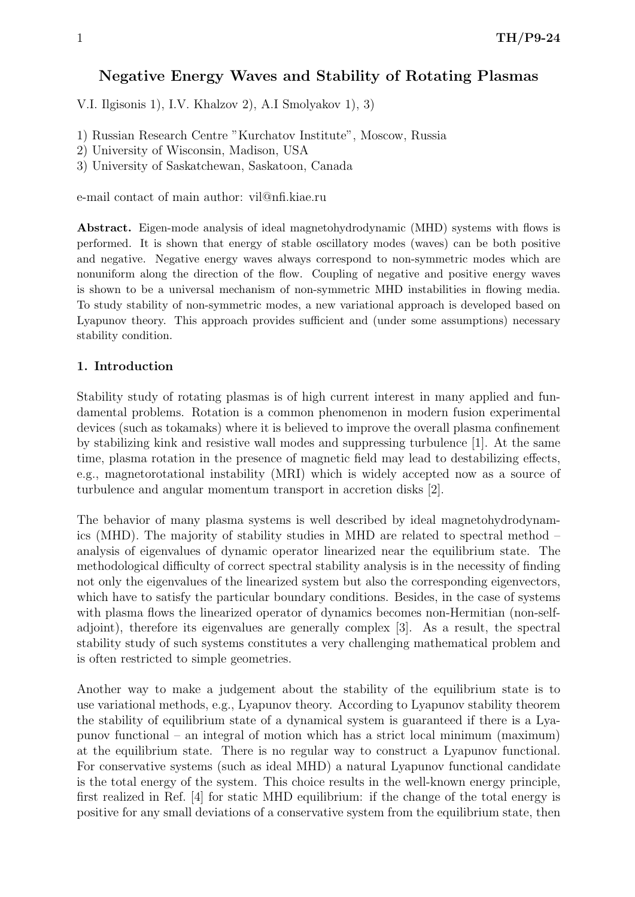# Negative Energy Waves and Stability of Rotating Plasmas

V.I. Ilgisonis 1), I.V. Khalzov 2), A.I Smolyakov 1), 3)

- 1) Russian Research Centre "Kurchatov Institute", Moscow, Russia
- 2) University of Wisconsin, Madison, USA
- 3) University of Saskatchewan, Saskatoon, Canada

e-mail contact of main author: vil@nfi.kiae.ru

Abstract. Eigen-mode analysis of ideal magnetohydrodynamic (MHD) systems with flows is performed. It is shown that energy of stable oscillatory modes (waves) can be both positive and negative. Negative energy waves always correspond to non-symmetric modes which are nonuniform along the direction of the flow. Coupling of negative and positive energy waves is shown to be a universal mechanism of non-symmetric MHD instabilities in flowing media. To study stability of non-symmetric modes, a new variational approach is developed based on Lyapunov theory. This approach provides sufficient and (under some assumptions) necessary stability condition.

#### 1. Introduction

Stability study of rotating plasmas is of high current interest in many applied and fundamental problems. Rotation is a common phenomenon in modern fusion experimental devices (such as tokamaks) where it is believed to improve the overall plasma confinement by stabilizing kink and resistive wall modes and suppressing turbulence [1]. At the same time, plasma rotation in the presence of magnetic field may lead to destabilizing effects, e.g., magnetorotational instability (MRI) which is widely accepted now as a source of turbulence and angular momentum transport in accretion disks [2].

The behavior of many plasma systems is well described by ideal magnetohydrodynamics (MHD). The majority of stability studies in MHD are related to spectral method – analysis of eigenvalues of dynamic operator linearized near the equilibrium state. The methodological difficulty of correct spectral stability analysis is in the necessity of finding not only the eigenvalues of the linearized system but also the corresponding eigenvectors, which have to satisfy the particular boundary conditions. Besides, in the case of systems with plasma flows the linearized operator of dynamics becomes non-Hermitian (non-selfadjoint), therefore its eigenvalues are generally complex [3]. As a result, the spectral stability study of such systems constitutes a very challenging mathematical problem and is often restricted to simple geometries.

Another way to make a judgement about the stability of the equilibrium state is to use variational methods, e.g., Lyapunov theory. According to Lyapunov stability theorem the stability of equilibrium state of a dynamical system is guaranteed if there is a Lyapunov functional – an integral of motion which has a strict local minimum (maximum) at the equilibrium state. There is no regular way to construct a Lyapunov functional. For conservative systems (such as ideal MHD) a natural Lyapunov functional candidate is the total energy of the system. This choice results in the well-known energy principle, first realized in Ref. [4] for static MHD equilibrium: if the change of the total energy is positive for any small deviations of a conservative system from the equilibrium state, then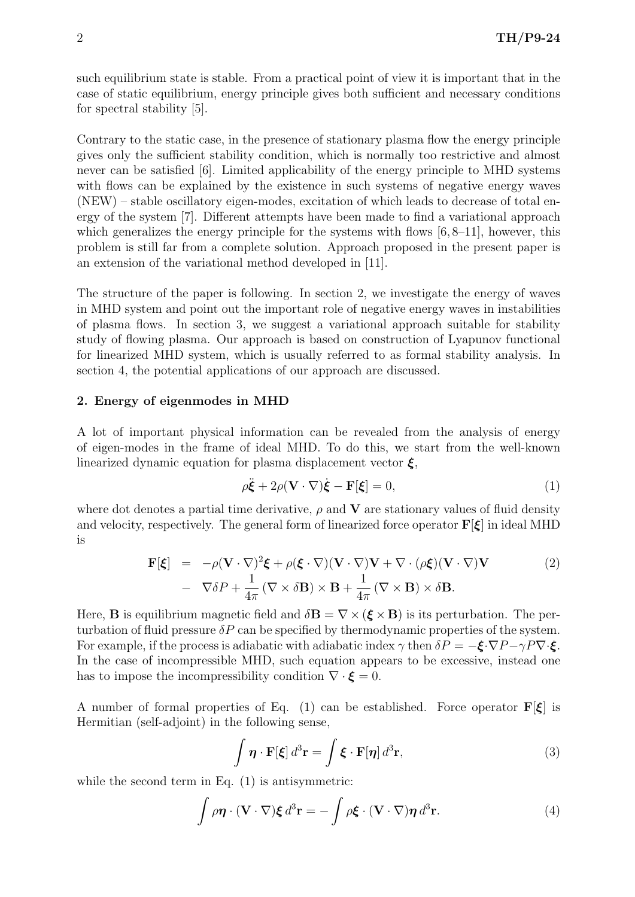such equilibrium state is stable. From a practical point of view it is important that in the case of static equilibrium, energy principle gives both sufficient and necessary conditions for spectral stability [5].

Contrary to the static case, in the presence of stationary plasma flow the energy principle gives only the sufficient stability condition, which is normally too restrictive and almost never can be satisfied [6]. Limited applicability of the energy principle to MHD systems with flows can be explained by the existence in such systems of negative energy waves (NEW) – stable oscillatory eigen-modes, excitation of which leads to decrease of total energy of the system [7]. Different attempts have been made to find a variational approach which generalizes the energy principle for the systems with flows  $[6, 8-11]$ , however, this problem is still far from a complete solution. Approach proposed in the present paper is an extension of the variational method developed in [11].

The structure of the paper is following. In section 2, we investigate the energy of waves in MHD system and point out the important role of negative energy waves in instabilities of plasma flows. In section 3, we suggest a variational approach suitable for stability study of flowing plasma. Our approach is based on construction of Lyapunov functional for linearized MHD system, which is usually referred to as formal stability analysis. In section 4, the potential applications of our approach are discussed.

## 2. Energy of eigenmodes in MHD

A lot of important physical information can be revealed from the analysis of energy of eigen-modes in the frame of ideal MHD. To do this, we start from the well-known linearized dynamic equation for plasma displacement vector  $\xi$ ,

$$
\rho \ddot{\xi} + 2\rho (\mathbf{V} \cdot \nabla) \dot{\xi} - \mathbf{F}[\xi] = 0, \tag{1}
$$

where dot denotes a partial time derivative,  $\rho$  and **V** are stationary values of fluid density and velocity, respectively. The general form of linearized force operator  $\mathbf{F}[\xi]$  in ideal MHD is

$$
\mathbf{F}[\xi] = -\rho(\mathbf{V} \cdot \nabla)^2 \xi + \rho(\xi \cdot \nabla)(\mathbf{V} \cdot \nabla)\mathbf{V} + \nabla \cdot (\rho \xi)(\mathbf{V} \cdot \nabla)\mathbf{V} \n- \nabla \delta P + \frac{1}{4\pi} (\nabla \times \delta \mathbf{B}) \times \mathbf{B} + \frac{1}{4\pi} (\nabla \times \mathbf{B}) \times \delta \mathbf{B}.
$$
\n(2)

Here, **B** is equilibrium magnetic field and  $\delta \mathbf{B} = \nabla \times (\boldsymbol{\xi} \times \mathbf{B})$  is its perturbation. The perturbation of fluid pressure  $\delta P$  can be specified by thermodynamic properties of the system. For example, if the process is adiabatic with adiabatic index  $\gamma$  then  $\delta P = -\xi \cdot \nabla P - \gamma P \nabla \cdot \xi$ . In the case of incompressible MHD, such equation appears to be excessive, instead one has to impose the incompressibility condition  $\nabla \cdot \boldsymbol{\xi} = 0$ .

A number of formal properties of Eq. (1) can be established. Force operator  $\mathbf{F}[\xi]$  is Hermitian (self-adjoint) in the following sense,

$$
\int \boldsymbol{\eta} \cdot \mathbf{F}[\boldsymbol{\xi}] d^3 \mathbf{r} = \int \boldsymbol{\xi} \cdot \mathbf{F}[\boldsymbol{\eta}] d^3 \mathbf{r},\tag{3}
$$

while the second term in Eq.  $(1)$  is antisymmetric:

$$
\int \rho \boldsymbol{\eta} \cdot (\mathbf{V} \cdot \nabla) \boldsymbol{\xi} d^3 \mathbf{r} = -\int \rho \boldsymbol{\xi} \cdot (\mathbf{V} \cdot \nabla) \boldsymbol{\eta} d^3 \mathbf{r}.
$$
 (4)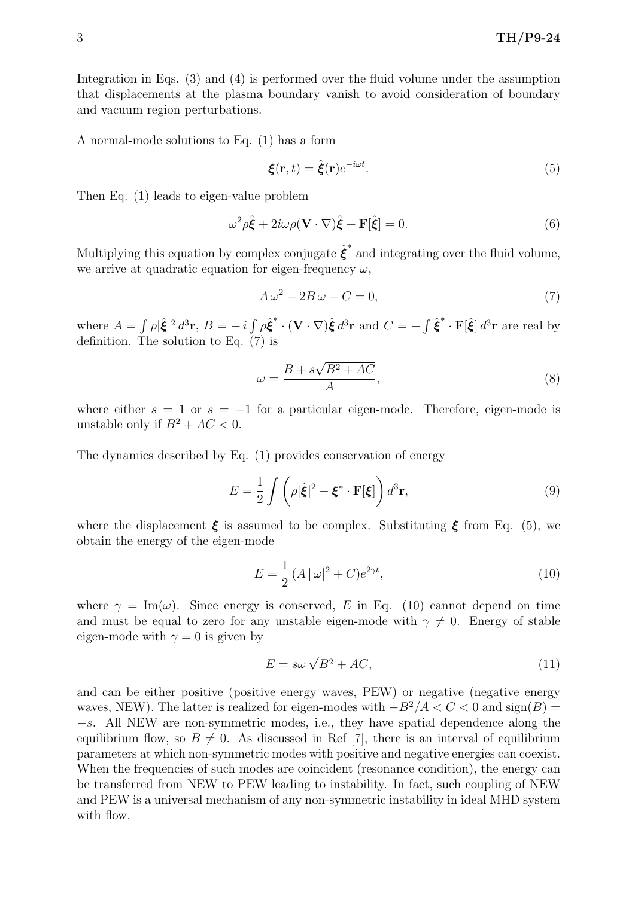Integration in Eqs. (3) and (4) is performed over the fluid volume under the assumption that displacements at the plasma boundary vanish to avoid consideration of boundary and vacuum region perturbations.

A normal-mode solutions to Eq. (1) has a form

$$
\boldsymbol{\xi}(\mathbf{r},t) = \hat{\boldsymbol{\xi}}(\mathbf{r})e^{-i\omega t}.\tag{5}
$$

Then Eq. (1) leads to eigen-value problem

$$
\omega^2 \rho \hat{\xi} + 2i\omega \rho (\mathbf{V} \cdot \nabla) \hat{\xi} + \mathbf{F}[\hat{\xi}] = 0.
$$
 (6)

Multiplying this equation by complex conjugate  $\hat{\xi}^*$  and integrating over the fluid volume, we arrive at quadratic equation for eigen-frequency  $\omega$ ,

$$
A\,\omega^2 - 2B\,\omega - C = 0,\tag{7}
$$

where  $A = \int \rho |\hat{\xi}|^2 d^3 \mathbf{r}$ ,  $B = -i \int \rho \hat{\xi}^* \cdot (\mathbf{V} \cdot \nabla) \hat{\xi} d^3 \mathbf{r}$  and  $C = -\int \hat{\xi}^* \cdot \mathbf{F}[\hat{\xi}] d^3 \mathbf{r}$  are real by definition. The solution to Eq.  $(7)$  is

$$
\omega = \frac{B + s\sqrt{B^2 + AC}}{A},\tag{8}
$$

where either  $s = 1$  or  $s = -1$  for a particular eigen-mode. Therefore, eigen-mode is unstable only if  $B^2 + AC < 0$ .

The dynamics described by Eq. (1) provides conservation of energy

$$
E = \frac{1}{2} \int \left( \rho |\dot{\boldsymbol{\xi}}|^2 - \boldsymbol{\xi}^* \cdot \mathbf{F}[\boldsymbol{\xi}] \right) d^3 \mathbf{r},\tag{9}
$$

where the displacement  $\xi$  is assumed to be complex. Substituting  $\xi$  from Eq. (5), we obtain the energy of the eigen-mode

$$
E = \frac{1}{2} (A |\omega|^2 + C) e^{2\gamma t}, \tag{10}
$$

where  $\gamma = \text{Im}(\omega)$ . Since energy is conserved, E in Eq. (10) cannot depend on time and must be equal to zero for any unstable eigen-mode with  $\gamma \neq 0$ . Energy of stable eigen-mode with  $\gamma = 0$  is given by

$$
E = s\omega\sqrt{B^2 + AC},\tag{11}
$$

and can be either positive (positive energy waves, PEW) or negative (negative energy waves, NEW). The latter is realized for eigen-modes with  $-B^2/A < C < 0$  and  $sign(B) =$ −s. All NEW are non-symmetric modes, i.e., they have spatial dependence along the equilibrium flow, so  $B \neq 0$ . As discussed in Ref [7], there is an interval of equilibrium parameters at which non-symmetric modes with positive and negative energies can coexist. When the frequencies of such modes are coincident (resonance condition), the energy can be transferred from NEW to PEW leading to instability. In fact, such coupling of NEW and PEW is a universal mechanism of any non-symmetric instability in ideal MHD system with flow.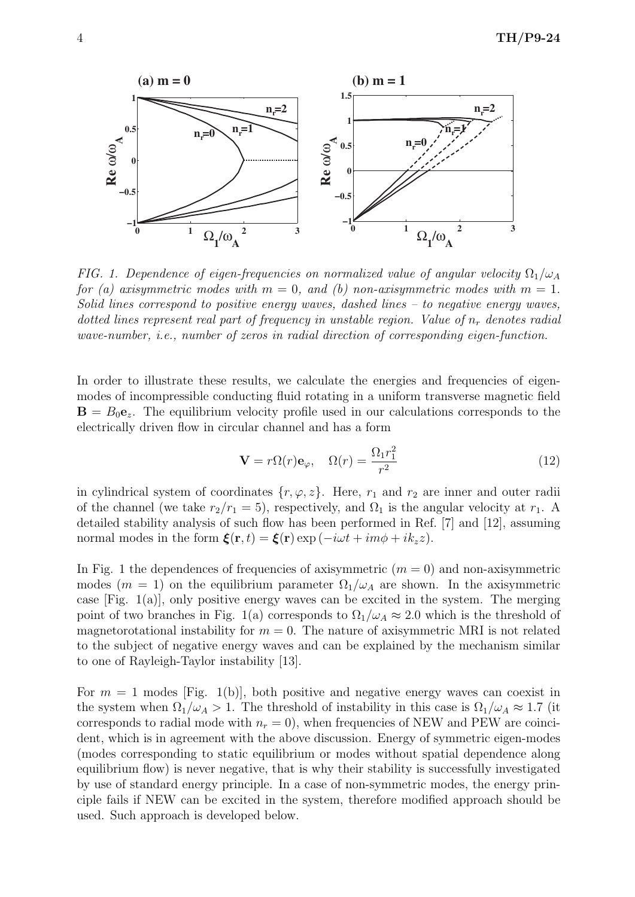

FIG. 1. Dependence of eigen-frequencies on normalized value of angular velocity  $\Omega_1/\omega_A$ for (a) axisymmetric modes with  $m = 0$ , and (b) non-axisymmetric modes with  $m = 1$ . Solid lines correspond to positive energy waves, dashed lines – to negative energy waves, dotted lines represent real part of frequency in unstable region. Value of  $n_r$  denotes radial wave-number, i.e., number of zeros in radial direction of corresponding eigen-function.

In order to illustrate these results, we calculate the energies and frequencies of eigenmodes of incompressible conducting fluid rotating in a uniform transverse magnetic field  $\mathbf{B} = B_0 \mathbf{e}_z$ . The equilibrium velocity profile used in our calculations corresponds to the electrically driven flow in circular channel and has a form

$$
\mathbf{V} = r\Omega(r)\mathbf{e}_{\varphi}, \quad \Omega(r) = \frac{\Omega_1 r_1^2}{r^2} \tag{12}
$$

in cylindrical system of coordinates  $\{r, \varphi, z\}$ . Here,  $r_1$  and  $r_2$  are inner and outer radii of the channel (we take  $r_2/r_1 = 5$ ), respectively, and  $\Omega_1$  is the angular velocity at  $r_1$ . A detailed stability analysis of such flow has been performed in Ref. [7] and [12], assuming normal modes in the form  $\boldsymbol{\xi}(\mathbf{r},t) = \boldsymbol{\xi}(\mathbf{r}) \exp(-i\omega t + im\phi + ik_z z).$ 

In Fig. 1 the dependences of frequencies of axisymmetric  $(m = 0)$  and non-axisymmetric modes ( $m = 1$ ) on the equilibrium parameter  $\Omega_1/\omega_A$  are shown. In the axisymmetric case [Fig. 1(a)], only positive energy waves can be excited in the system. The merging point of two branches in Fig. 1(a) corresponds to  $\Omega_1/\omega_A \approx 2.0$  which is the threshold of magnetorotational instability for  $m = 0$ . The nature of axisymmetric MRI is not related to the subject of negative energy waves and can be explained by the mechanism similar to one of Rayleigh-Taylor instability [13].

For  $m = 1$  modes [Fig. 1(b)], both positive and negative energy waves can coexist in the system when  $\Omega_1/\omega_A > 1$ . The threshold of instability in this case is  $\Omega_1/\omega_A \approx 1.7$  (it corresponds to radial mode with  $n_r = 0$ , when frequencies of NEW and PEW are coincident, which is in agreement with the above discussion. Energy of symmetric eigen-modes (modes corresponding to static equilibrium or modes without spatial dependence along equilibrium flow) is never negative, that is why their stability is successfully investigated by use of standard energy principle. In a case of non-symmetric modes, the energy principle fails if NEW can be excited in the system, therefore modified approach should be used. Such approach is developed below.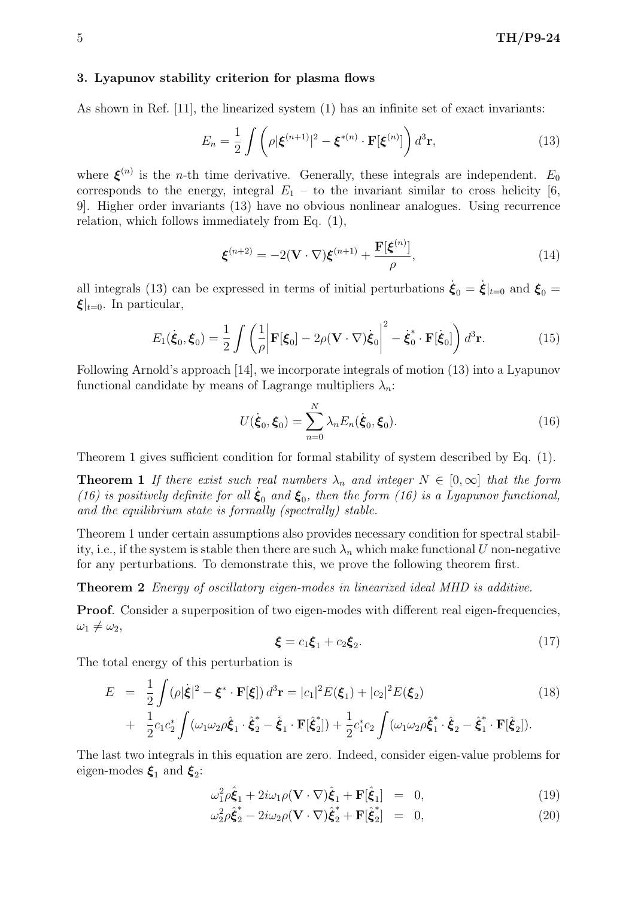## 3. Lyapunov stability criterion for plasma flows

As shown in Ref. [11], the linearized system (1) has an infinite set of exact invariants:

$$
E_n = \frac{1}{2} \int \left( \rho |\boldsymbol{\xi}^{(n+1)}|^2 - \boldsymbol{\xi}^{*(n)} \cdot \mathbf{F}[\boldsymbol{\xi}^{(n)}] \right) d^3 \mathbf{r},\tag{13}
$$

where  $\xi^{(n)}$  is the *n*-th time derivative. Generally, these integrals are independent.  $E_0$ corresponds to the energy, integral  $E_1$  – to the invariant similar to cross helicity [6, 9]. Higher order invariants (13) have no obvious nonlinear analogues. Using recurrence relation, which follows immediately from Eq. (1),

$$
\boldsymbol{\xi}^{(n+2)} = -2(\mathbf{V} \cdot \nabla)\boldsymbol{\xi}^{(n+1)} + \frac{\mathbf{F}[\boldsymbol{\xi}^{(n)}]}{\rho},\tag{14}
$$

all integrals (13) can be expressed in terms of initial perturbations  $\dot{\xi}_0 = \dot{\xi}|_{t=0}$  and  $\xi_0 = \dot{\xi}|_{t=0}$  $\xi|_{t=0}$ . In particular,

$$
E_1(\dot{\boldsymbol{\xi}}_0, \boldsymbol{\xi}_0) = \frac{1}{2} \int \left( \frac{1}{\rho} \left| \mathbf{F}[\boldsymbol{\xi}_0] - 2\rho (\mathbf{V} \cdot \nabla) \dot{\boldsymbol{\xi}}_0 \right|^2 - \dot{\boldsymbol{\xi}}_0^* \cdot \mathbf{F}[\dot{\boldsymbol{\xi}}_0] \right) d^3 \mathbf{r}.
$$
 (15)

Following Arnold's approach [14], we incorporate integrals of motion (13) into a Lyapunov functional candidate by means of Lagrange multipliers  $\lambda_n$ :

$$
U(\dot{\boldsymbol{\xi}}_0, \boldsymbol{\xi}_0) = \sum_{n=0}^{N} \lambda_n E_n(\dot{\boldsymbol{\xi}}_0, \boldsymbol{\xi}_0).
$$
 (16)

Theorem 1 gives sufficient condition for formal stability of system described by Eq. (1).

**Theorem 1** If there exist such real numbers  $\lambda_n$  and integer  $N \in [0,\infty]$  that the form (16) is positively definite for all  $\dot{\xi}_0$  and  $\xi_0$ , then the form (16) is a Lyapunov functional, and the equilibrium state is formally (spectrally) stable.

Theorem 1 under certain assumptions also provides necessary condition for spectral stability, i.e., if the system is stable then there are such  $\lambda_n$  which make functional U non-negative for any perturbations. To demonstrate this, we prove the following theorem first.

Theorem 2 Energy of oscillatory eigen-modes in linearized ideal MHD is additive.

Proof. Consider a superposition of two eigen-modes with different real eigen-frequencies,  $\omega_1 \neq \omega_2$ 

$$
\xi = c_1 \xi_1 + c_2 \xi_2. \tag{17}
$$

The total energy of this perturbation is

$$
E = \frac{1}{2} \int (\rho |\dot{\xi}|^2 - \xi^* \cdot \mathbf{F}[\xi]) d^3 \mathbf{r} = |c_1|^2 E(\xi_1) + |c_2|^2 E(\xi_2)
$$
(18)  
+ 
$$
\frac{1}{2} c_1 c_2^* \int (\omega_1 \omega_2 \rho \dot{\xi}_1 \cdot \dot{\xi}_2^* - \dot{\xi}_1 \cdot \mathbf{F}[\dot{\xi}_2^*]) + \frac{1}{2} c_1^* c_2 \int (\omega_1 \omega_2 \rho \dot{\xi}_1^* \cdot \dot{\xi}_2 - \dot{\xi}_1^* \cdot \mathbf{F}[\dot{\xi}_2]).
$$

The last two integrals in this equation are zero. Indeed, consider eigen-value problems for eigen-modes  $\xi_1$  and  $\xi_2$ :

$$
\omega_1^2 \rho \hat{\xi}_1 + 2i\omega_1 \rho (\mathbf{V} \cdot \nabla) \hat{\xi}_1 + \mathbf{F}[\hat{\xi}_1] = 0, \qquad (19)
$$

$$
\omega_2^2 \rho \hat{\xi}_2^* - 2i\omega_2 \rho (\mathbf{V} \cdot \nabla) \hat{\xi}_2^* + \mathbf{F}[\hat{\xi}_2^*] = 0, \qquad (20)
$$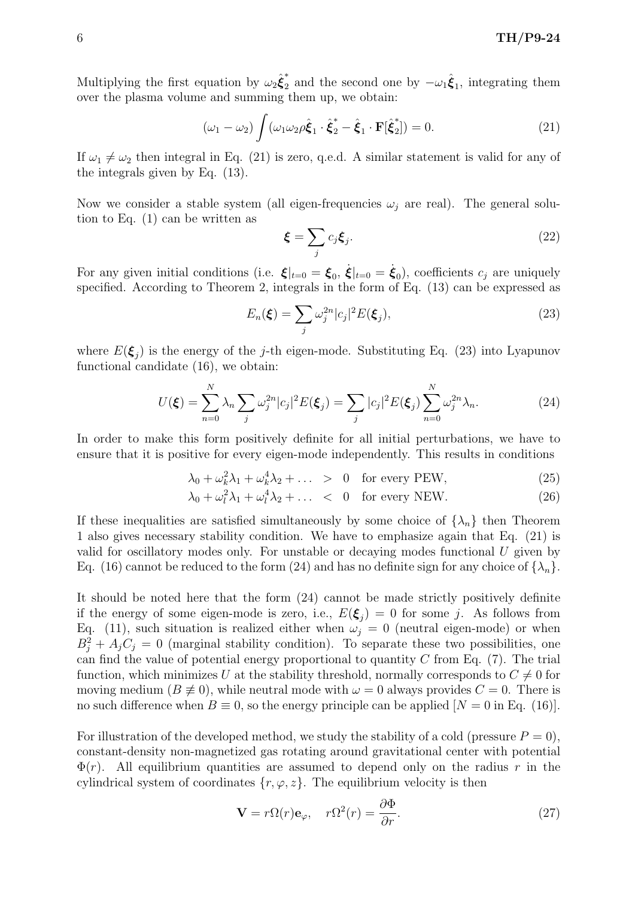Multiplying the first equation by  $\omega_2 \hat{\xi}_2^*$ <sup>\*</sup><sub>2</sub> and the second one by  $-\omega_1 \hat{\xi}_1$ , integrating them over the plasma volume and summing them up, we obtain:

$$
(\omega_1 - \omega_2) \int (\omega_1 \omega_2 \rho \hat{\xi}_1 \cdot \hat{\xi}_2^* - \hat{\xi}_1 \cdot \mathbf{F}[\hat{\xi}_2^*]) = 0.
$$
 (21)

If  $\omega_1 \neq \omega_2$  then integral in Eq. (21) is zero, q.e.d. A similar statement is valid for any of the integrals given by Eq. (13).

Now we consider a stable system (all eigen-frequencies  $\omega_j$  are real). The general solution to Eq. (1) can be written as

$$
\boldsymbol{\xi} = \sum_{j} c_j \boldsymbol{\xi}_j. \tag{22}
$$

For any given initial conditions (i.e.  $\xi|_{t=0} = \xi_0$ ,  $\dot{\xi}|_{t=0} = \dot{\xi}_0$ ), coefficients  $c_j$  are uniquely specified. According to Theorem 2, integrals in the form of Eq. (13) can be expressed as

$$
E_n(\boldsymbol{\xi}) = \sum_j \omega_j^{2n} |c_j|^2 E(\boldsymbol{\xi}_j), \qquad (23)
$$

where  $E(\boldsymbol{\xi}_j)$  is the energy of the j-th eigen-mode. Substituting Eq. (23) into Lyapunov functional candidate (16), we obtain:

$$
U(\xi) = \sum_{n=0}^{N} \lambda_n \sum_{j} \omega_j^{2n} |c_j|^2 E(\xi_j) = \sum_{j} |c_j|^2 E(\xi_j) \sum_{n=0}^{N} \omega_j^{2n} \lambda_n.
$$
 (24)

In order to make this form positively definite for all initial perturbations, we have to ensure that it is positive for every eigen-mode independently. This results in conditions

$$
\lambda_0 + \omega_k^2 \lambda_1 + \omega_k^4 \lambda_2 + \dots > 0 \quad \text{for every PEW}, \tag{25}
$$

$$
\lambda_0 + \omega_l^2 \lambda_1 + \omega_l^4 \lambda_2 + \dots < 0 \quad \text{for every NEW.} \tag{26}
$$

If these inequalities are satisfied simultaneously by some choice of  $\{\lambda_n\}$  then Theorem 1 also gives necessary stability condition. We have to emphasize again that Eq. (21) is valid for oscillatory modes only. For unstable or decaying modes functional U given by Eq. (16) cannot be reduced to the form (24) and has no definite sign for any choice of  $\{\lambda_n\}$ .

It should be noted here that the form (24) cannot be made strictly positively definite if the energy of some eigen-mode is zero, i.e.,  $E(\xi_j) = 0$  for some j. As follows from Eq. (11), such situation is realized either when  $\omega_j = 0$  (neutral eigen-mode) or when  $B_j^2 + A_j C_j = 0$  (marginal stability condition). To separate these two possibilities, one can find the value of potential energy proportional to quantity  $C$  from Eq. (7). The trial function, which minimizes U at the stability threshold, normally corresponds to  $C \neq 0$  for moving medium ( $B \not\equiv 0$ ), while neutral mode with  $\omega = 0$  always provides  $C = 0$ . There is no such difference when  $B \equiv 0$ , so the energy principle can be applied  $[N = 0 \text{ in Eq. (16)}]$ .

For illustration of the developed method, we study the stability of a cold (pressure  $P = 0$ ), constant-density non-magnetized gas rotating around gravitational center with potential  $\Phi(r)$ . All equilibrium quantities are assumed to depend only on the radius r in the cylindrical system of coordinates  $\{r, \varphi, z\}$ . The equilibrium velocity is then

$$
\mathbf{V} = r\Omega(r)\mathbf{e}_{\varphi}, \quad r\Omega^2(r) = \frac{\partial \Phi}{\partial r}.
$$
 (27)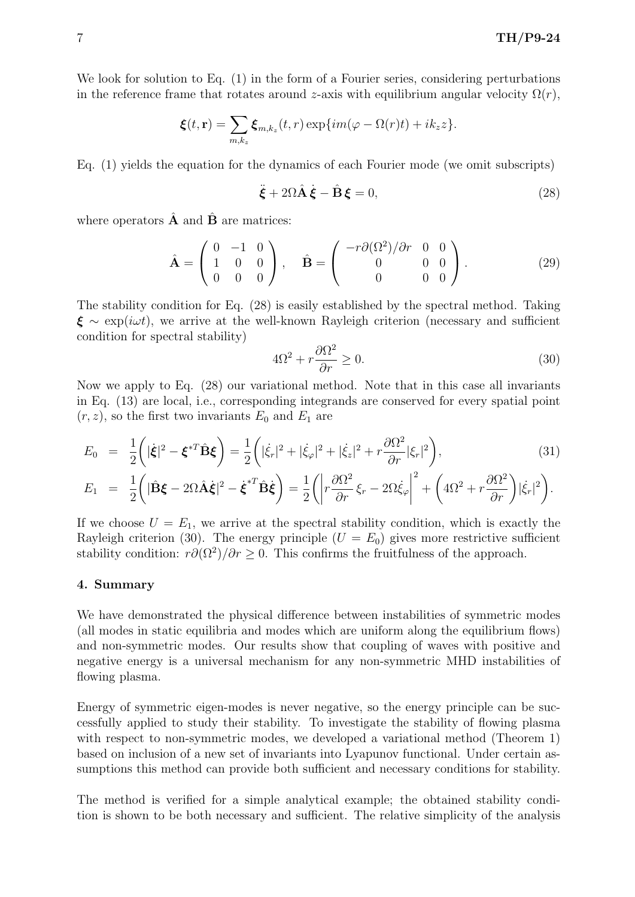We look for solution to Eq. (1) in the form of a Fourier series, considering perturbations in the reference frame that rotates around z-axis with equilibrium angular velocity  $\Omega(r)$ ,

$$
\boldsymbol{\xi}(t,\mathbf{r})=\sum_{m,k_z}\boldsymbol{\xi}_{m,k_z}(t,r)\exp\{im(\varphi-\Omega(r)t)+ik_zz\}.
$$

Eq. (1) yields the equation for the dynamics of each Fourier mode (we omit subscripts)

$$
\ddot{\xi} + 2\Omega \hat{A} \dot{\xi} - \hat{B} \xi = 0, \qquad (28)
$$

where operators  $\hat{\mathbf{A}}$  and  $\hat{\mathbf{B}}$  are matrices:

$$
\hat{\mathbf{A}} = \begin{pmatrix} 0 & -1 & 0 \\ 1 & 0 & 0 \\ 0 & 0 & 0 \end{pmatrix}, \quad \hat{\mathbf{B}} = \begin{pmatrix} -r\partial(\Omega^2)/\partial r & 0 & 0 \\ 0 & 0 & 0 \\ 0 & 0 & 0 \end{pmatrix}.
$$
 (29)

The stability condition for Eq. (28) is easily established by the spectral method. Taking  $\xi \sim \exp(i\omega t)$ , we arrive at the well-known Rayleigh criterion (necessary and sufficient condition for spectral stability)

$$
4\Omega^2 + r\frac{\partial \Omega^2}{\partial r} \ge 0.
$$
\n(30)

Now we apply to Eq. (28) our variational method. Note that in this case all invariants in Eq. (13) are local, i.e., corresponding integrands are conserved for every spatial point  $(r, z)$ , so the first two invariants  $E_0$  and  $E_1$  are

$$
E_0 = \frac{1}{2} \left( |\dot{\xi}|^2 - {\xi}^{*T} \hat{\mathbf{B}} {\xi} \right) = \frac{1}{2} \left( |\dot{\xi}_r|^2 + |\dot{\xi}_\varphi|^2 + |\dot{\xi}_z|^2 + r \frac{\partial \Omega^2}{\partial r} |\xi_r|^2 \right), \tag{31}
$$

$$
E_1 = \frac{1}{2} \left( |\hat{\mathbf{B}}\boldsymbol{\xi} - 2\Omega \hat{\mathbf{A}}\dot{\boldsymbol{\xi}}|^2 - \dot{\boldsymbol{\xi}}^{*T} \hat{\mathbf{B}}\dot{\boldsymbol{\xi}} \right) = \frac{1}{2} \left( \left| r \frac{\partial \Omega^2}{\partial r} \xi_r - 2\Omega \dot{\xi}_{\varphi} \right|^2 + \left( 4\Omega^2 + r \frac{\partial \Omega^2}{\partial r} \right) |\dot{\xi}_r|^2 \right).
$$

If we choose  $U = E_1$ , we arrive at the spectral stability condition, which is exactly the Rayleigh criterion (30). The energy principle  $(U = E_0)$  gives more restrictive sufficient stability condition:  $r\partial(\Omega^2)/\partial r \geq 0$ . This confirms the fruitfulness of the approach.

#### 4. Summary

We have demonstrated the physical difference between instabilities of symmetric modes (all modes in static equilibria and modes which are uniform along the equilibrium flows) and non-symmetric modes. Our results show that coupling of waves with positive and negative energy is a universal mechanism for any non-symmetric MHD instabilities of flowing plasma.

Energy of symmetric eigen-modes is never negative, so the energy principle can be successfully applied to study their stability. To investigate the stability of flowing plasma with respect to non-symmetric modes, we developed a variational method (Theorem 1) based on inclusion of a new set of invariants into Lyapunov functional. Under certain assumptions this method can provide both sufficient and necessary conditions for stability.

The method is verified for a simple analytical example; the obtained stability condition is shown to be both necessary and sufficient. The relative simplicity of the analysis